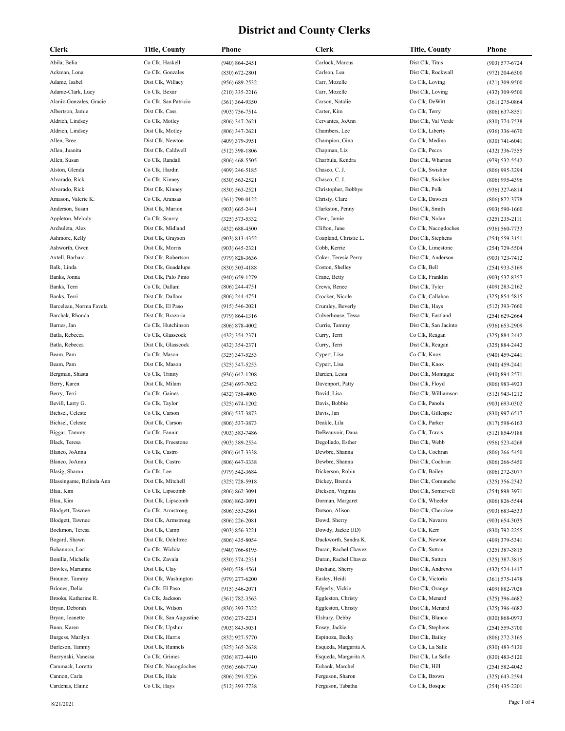| Clerk                    | Title, County           | Phone              | Clerk                 | Title, County         | Phone              |
|--------------------------|-------------------------|--------------------|-----------------------|-----------------------|--------------------|
| Abila, Belia             | Co Clk, Haskell         | $(940) 864 - 2451$ | Carlock, Marcus       | Dist Clk, Titus       | $(903) 577 - 6724$ |
| Ackman, Lona             | Co Clk, Gonzales        | $(830)$ 672-2801   | Carlson, Lea          | Dist Clk, Rockwall    | $(972)$ 204-6500   |
| Adame, Isabel            | Dist Clk, Willacy       | $(956) 689 - 2532$ | Carr, Mozelle         | Co Clk, Loving        | $(421)$ 309-9500   |
| Adame-Clark, Lucy        | Co Clk, Bexar           | $(210)$ 335-2216   | Carr, Mozelle         | Dist Clk, Loving      | (432) 309-9500     |
| Alaniz-Gonzales, Gracie  | Co Clk, San Patricio    | $(361)$ 364-9350   | Carson, Natalie       | Co Clk, DeWitt        | (361) 275-0864     |
| Albertson, Jamie         | Dist Clk, Cass          | $(903) 756 - 7514$ | Carter, Kim           | Co Clk, Terry         | $(806)$ 637-8551   |
| Aldrich, Lindsey         | Co Clk, Motley          | $(806)$ 347-2621   | Cervantes, JoAnn      | Dist Clk, Val Verde   | $(830)$ 774-7538   |
| Aldrich, Lindsey         | Dist Clk, Motley        | $(806)$ 347-2621   | Chambers, Lee         | Co Clk, Liberty       | (936) 336-4670     |
| Allen, Bree              | Dist Clk, Newton        | (409) 379-3951     | Champion, Gina        | Co Clk, Medina        | (830) 741-6041     |
| Allen, Juanita           | Dist Clk, Caldwell      | $(512)$ 398-1806   | Chapman, Liz          | Co Clk, Pecos         | (432) 336-7555     |
| Allen, Susan             | Co Clk, Randall         | $(806)$ 468-5505   | Charbula, Kendra      | Dist Clk, Wharton     | $(979) 532 - 5542$ |
| Alston, Glenda           | Co Clk, Hardin          | (409) 246-5185     | Chasco, C. J.         | Co Clk, Swisher       | $(806)$ 995-3294   |
| Alvarado, Rick           | Co Clk, Kinney          |                    | Chasco, C. J.         | Dist Clk, Swisher     | $(806)$ 995-4396   |
| Alvarado, Rick           | Dist Clk, Kinney        | $(830)$ 563-2521   | Christopher, Bobbye   | Dist Clk, Polk        |                    |
| Amason, Valerie K.       | Co Clk, Aransas         | $(830)$ 563-2521   | Christy, Clare        | Co Clk, Dawson        | (936) 327-6814     |
|                          |                         | $(361) 790 - 0122$ |                       |                       | $(806)$ 872-3778   |
| Anderson, Susan          | Dist Clk, Marion        | $(903) 665 - 2441$ | Clarkston, Penny      | Dist Clk, Smith       | $(903) 590 - 1660$ |
| Appleton, Melody         | Co Clk, Scurry          | (325) 573-5332     | Clem, Jamie           | Dist Clk, Nolan       | (325) 235-2111     |
| Archuleta, Alex          | Dist Clk, Midland       | (432) 688-4500     | Clifton, June         | Co Clk, Nacogdoches   | (936) 560-7733     |
| Ashmore, Kelly           | Dist Clk, Grayson       | $(903)$ 813-4352   | Coapland, Christie L. | Dist Clk, Stephens    | $(254) 559 - 3151$ |
| Ashworth, Gwen           | Dist Clk, Morris        | (903) 645-2321     | Cobb, Kerrie          | Co Clk, Limestone     | (254) 729-5504     |
| Axtell, Barbara          | Dist Clk, Robertson     | (979) 828-3636     | Coker, Teresia Perry  | Dist Clk, Anderson    | $(903) 723 - 7412$ |
| Balk, Linda              | Dist Clk, Guadalupe     | $(830)$ 303-4188   | Coston, Shelley       | Co Clk, Bell          | $(254)$ 933-5169   |
| Banks, Jonna             | Dist Clk, Palo Pinto    | $(940)$ 659-1279   | Crane, Betty          | Co Clk, Franklin      | $(903) 537 - 8357$ |
| Banks, Terri             | Co Clk, Dallam          | (806) 244-4751     | Crews, Renee          | Dist Clk, Tyler       | $(409)$ 283-2162   |
| Banks, Terri             | Dist Clk, Dallam        | $(806)$ 244-4751   | Crocker, Nicole       | Co Clk, Callahan      | $(325) 854 - 5815$ |
| Barceleau, Norma Favela  | Dist Clk, El Paso       | (915) 546-2021     | Crumley, Beverly      | Dist Clk, Hays        | $(512)$ 393-7660   |
| Barchak, Rhonda          | Dist Clk, Brazoria      | $(979) 864 - 1316$ | Culverhouse, Tessa    | Dist Clk, Eastland    | $(254)$ 629-2664   |
| Barnes, Jan              | Co Clk, Hutchinson      | $(806)$ 878-4002   | Currie, Tammy         | Dist Clk, San Jacinto | $(936) 653 - 2909$ |
| Batla, Rebecca           | Co Clk, Glasscock       | (432) 354-2371     | Curry, Terri          | Co Clk, Reagan        | (325) 884-2442     |
| Batla, Rebecca           | Dist Clk, Glasscock     | (432) 354-2371     | Curry, Terri          | Dist Clk, Reagan      | (325) 884-2442     |
| Beam, Pam                | Co Clk, Mason           | (325) 347-5253     | Cypert, Lisa          | Co Clk, Knox          | $(940)$ 459-2441   |
| Beam, Pam                | Dist Clk, Mason         | (325) 347-5253     | Cypert, Lisa          | Dist Clk, Knox        | $(940)$ 459-2441   |
| Bergman, Shasta          | Co Clk, Trinity         | $(936) 642 - 1208$ | Darden, Lesia         | Dist Clk, Montague    | (940) 894-2571     |
| Berry, Karen             | Dist Clk, Milam         | $(254)$ 697-7052   | Davenport, Patty      | Dist Clk, Floyd       | $(806)$ 983-4923   |
| Berry, Terri             | Co Clk, Gaines          | $(432)$ 758-4003   | David, Lisa           | Dist Clk, Williamson  | $(512)$ 943-1212   |
| Bevill, Larry G.         | Co Clk, Taylor          | $(325) 674 - 1202$ | Davis, Bobbie         | Co Clk, Panola        | $(903) 693 - 0302$ |
| Bichsel, Celeste         | Co Clk, Carson          | $(806)$ 537-3873   | Davis, Jan            | Dist Clk, Gillespie   | $(830)$ 997-6517   |
| Bichsel, Celeste         | Dist Clk, Carson        | $(806)$ 537-3873   | Deakle, Lila          | Co Clk, Parker        | $(817) 598 - 6163$ |
| Biggar, Tammy            | Co Clk, Fannin          | (903) 583-7486     | DeBeauvoir, Dana      | Co Clk, Travis        | (512) 854-9188     |
| Black, Teresa            | Dist Clk, Freestone     | (903) 389-2534     | Degollado, Esther     | Dist Clk, Webb        | $(956) 523 - 4268$ |
| Blanco, JoAnna           | Co Clk, Castro          | $(806)$ 647-3338   | Dewbre, Shanna        | Co Clk, Cochran       | $(806)$ 266-5450   |
| Blanco, JoAnna           | Dist Clk, Castro        | $(806)$ 647-3338   | Dewbre, Shanna        | Dist Clk, Cochran     | $(806)$ 266-5450   |
| Blasig, Sharon           | Co Clk, Lee             | (979) 542-3684     | Dickerson, Robin      | Co Clk, Bailey        | (806) 272-3077     |
| Blassingame, Belinda Ann | Dist Clk, Mitchell      | $(325)$ 728-5918   | Dickey, Brenda        | Dist Clk, Comanche    | $(325)$ 356-2342   |
| Blau, Kim                | Co Clk, Lipscomb        | $(806) 862 - 3091$ | Dickson, Virginia     | Dist Clk, Somervell   | $(254) 898 - 3971$ |
| Blau, Kim                | Dist Clk, Lipscomb      | $(806) 862 - 3091$ | Dorman, Margaret      | Co Clk, Wheeler       | $(806)$ 826-5544   |
| Blodgett, Tawnee         | Co Clk, Armstrong       | $(806)$ 553-2861   | Dotson, Alison        | Dist Clk, Cherokee    | $(903) 683 - 4533$ |
| Blodgett, Tawnee         | Dist Clk, Armstrong     | $(806)$ 226-2081   | Dowd, Sherry          | Co Clk, Navarro       | $(903) 654 - 3035$ |
| Bockmon, Teresa          | Dist Clk, Camp          | $(903) 856 - 3221$ | Dowdy, Jackie (JD)    | Co Clk, Kerr          | (830) 792-2255     |
| Bogard, Shawn            | Dist Clk, Ochiltree     | $(806)$ 435-8054   | Duckworth, Sandra K.  | Co Clk, Newton        | $(409)$ 379-5341   |
| Bohannon, Lori           | Co Clk, Wichita         | $(940)$ 766-8195   | Duran, Rachel Chavez  | Co Clk, Sutton        | $(325)$ 387-3815   |
| Bonilla, Michelle        | Co Clk, Zavala          | $(830)$ 374-2331   | Duran, Rachel Chavez  | Dist Clk, Sutton      | $(325)$ 387-3815   |
| Bowles, Marianne         | Dist Clk, Clay          | $(940)$ 538-4561   | Dushane, Sherry       | Dist Clk, Andrews     | (432) 524-1417     |
| Brauner, Tammy           | Dist Clk, Washington    | $(979)$ 277-6200   | Easley, Heidi         | Co Clk, Victoria      | $(361) 575 - 1478$ |
| Briones, Delia           | Co Clk, El Paso         | $(915) 546 - 2071$ | Edgerly, Vickie       | Dist Clk, Orange      | $(409) 882 - 7028$ |
| Brooks, Katherine R.     | Co Clk, Jackson         | $(361) 782 - 3563$ | Eggleston, Christy    | Co Clk, Menard        | $(325)$ 396-4682   |
| Bryan, Deborah           | Dist Clk, Wilson        | (830) 393-7322     | Eggleston, Christy    | Dist Clk, Menard      | $(325)$ 396-4682   |
| Bryan, Jeanette          | Dist Clk, San Augustine | $(936)$ 275-2231   | Elsbury, Debby        | Dist Clk, Blanco      | $(830) 868 - 0973$ |
| Bunn, Karen              | Dist Clk, Upshur        | $(903) 843 - 5031$ | Ensey, Jackie         | Co Clk, Stephens      | $(254) 559 - 3700$ |
| Burgess, Marilyn         | Dist Clk, Harris        |                    | Espinoza, Becky       | Dist Clk, Bailey      |                    |
|                          |                         | (832) 927-5770     |                       |                       | $(806)$ 272-3165   |
| Burleson, Tammy          | Dist Clk, Runnels       | $(325)$ 365-2638   | Esqueda, Margarita A. | Co Clk, La Salle      | $(830)$ 483-5120   |
| Burzynski, Vanessa       | Co Clk, Grimes          | $(936)$ 873-4410   | Esqueda, Margarita A. | Dist Clk, La Salle    | $(830)$ 483-5120   |
| Cammack, Loretta         | Dist Clk, Nacogdoches   | $(936) 560 - 7740$ | Eubank, Marchel       | Dist Clk, Hill        | $(254) 582 - 4042$ |
| Cannon, Carla            | Dist Clk, Hale          | $(806)$ 291-5226   | Ferguson, Sharon      | Co Clk, Brown         | $(325)$ 643-2594   |
| Cardenas, Elaine         | Co Clk, Hays            | $(512)$ 393-7738   | Ferguson, Tabatha     | Co Clk, Bosque        | $(254)$ 435-2201   |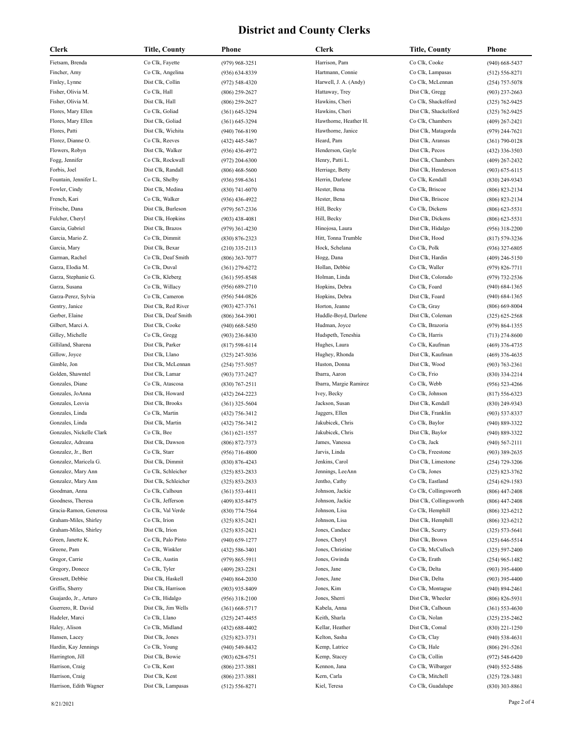| Clerk                    | Title, County        | Phone              | <b>Clerk</b>           | Title, County                          | Phone              |
|--------------------------|----------------------|--------------------|------------------------|----------------------------------------|--------------------|
| Fietsam, Brenda          | Co Clk, Fayette      | (979) 968-3251     | Harrison, Pam          | Co Clk, Cooke                          | $(940)$ 668-5437   |
| Fincher, Amy             | Co Clk, Angelina     | $(936) 634 - 8339$ | Hartmann, Connie       | Co Clk, Lampasas                       | $(512) 556 - 8271$ |
| Finley, Lynne            | Dist Clk, Collin     | $(972) 548 - 4320$ | Harwell, J. A. (Andy)  | Co Clk, McLennan                       | $(254)$ 757-5078   |
| Fisher, Olivia M.        | Co Clk, Hall         | $(806)$ 259-2627   | Hattaway, Trey         | Dist Clk, Gregg                        | $(903)$ 237-2663   |
| Fisher, Olivia M.        | Dist Clk, Hall       | $(806)$ 259-2627   | Hawkins, Cheri         | Co Clk, Shackelford                    | $(325) 762 - 9425$ |
| Flores, Mary Ellen       | Co Clk, Goliad       | $(361) 645 - 3294$ | Hawkins, Cheri         | Dist Clk, Shackelford                  | (325) 762-9425     |
| Flores, Mary Ellen       | Dist Clk, Goliad     | $(361) 645 - 3294$ | Hawthorne, Heather H.  | Co Clk, Chambers                       | $(409)$ 267-2421   |
| Flores, Patti            | Dist Clk, Wichita    | $(940)$ 766-8190   | Hawthorne, Janice      | Dist Clk, Matagorda                    | $(979)$ 244-7621   |
| Florez, Dianne O.        | Co Clk, Reeves       | (432) 445-5467     | Heard, Pam             | Dist Clk, Aransas                      | $(361) 790 - 0128$ |
| Flowers, Robyn           | Dist Clk, Walker     | $(936)$ 436-4972   | Henderson, Gayle       | Dist Clk, Pecos                        | $(432)$ 336-3503   |
| Fogg, Jennifer           | Co Clk, Rockwall     | $(972)$ 204-6300   | Henry, Patti L.        | Dist Clk, Chambers                     | $(409)$ 267-2432   |
| Forbis, Joel             | Dist Clk, Randall    | $(806)$ 468-5600   | Herriage, Betty        | Dist Clk, Henderson                    | $(903) 675 - 6115$ |
| Fountain, Jennifer L.    | Co Clk, Shelby       | $(936) 598 - 6361$ | Herrin, Darlene        | Co Clk, Kendall                        | $(830)$ 249-9343   |
| Fowler, Cindy            | Dist Clk, Medina     |                    | Hester, Bena           | Co Clk, Briscoe                        |                    |
| French, Kari             | Co Clk, Walker       | $(830)$ 741-6070   | Hester, Bena           | Dist Clk, Briscoe                      | $(806) 823 - 2134$ |
|                          |                      | $(936)$ 436-4922   |                        |                                        | $(806) 823 - 2134$ |
| Fritsche, Dana           | Dist Clk, Burleson   | $(979) 567 - 2336$ | Hill, Becky            | Co Clk, Dickens                        | $(806)$ 623-5531   |
| Fulcher, Cheryl          | Dist Clk, Hopkins    | $(903)$ 438-4081   | Hill, Becky            | Dist Clk, Dickens<br>Dist Clk, Hidalgo | $(806)$ 623-5531   |
| Garcia, Gabriel          | Dist Clk, Brazos     | $(979)$ 361-4230   | Hinojosa, Laura        |                                        | $(956)$ 318-2200   |
| Garcia, Mario Z.         | Co Clk, Dimmit       | (830) 876-2323     | Hitt, Tonna Trumble    | Dist Clk, Hood                         | $(817) 579 - 3236$ |
| Garcia, Mary             | Dist Clk, Bexar      | $(210)$ 335-2113   | Hock, Schelana         | Co Clk, Polk                           | $(936)$ 327-6805   |
| Garman, Rachel           | Co Clk, Deaf Smith   | $(806)$ 363-7077   | Hogg, Dana             | Dist Clk, Hardin                       | $(409)$ 246-5150   |
| Garza, Elodia M.         | Co Clk, Duval        | $(361)$ 279-6272   | Hollan, Debbie         | Co Clk, Waller                         | $(979) 826 - 7711$ |
| Garza, Stephanie G.      | Co Clk, Kleberg      | $(361) 595 - 8548$ | Holman, Linda          | Dist Clk, Colorado                     | (979) 732-2536     |
| Garza, Susana            | Co Clk, Willacy      | $(956) 689 - 2710$ | Hopkins, Debra         | Co Clk, Foard                          | $(940) 684 - 1365$ |
| Garza-Perez, Sylvia      | Co Clk, Cameron      | $(956) 544 - 0826$ | Hopkins, Debra         | Dist Clk, Foard                        | $(940) 684 - 1365$ |
| Gentry, Janice           | Dist Clk, Red River  | $(903)$ 427-3761   | Horton, Jeanne         | Co Clk, Gray                           | $(806) 669 - 8004$ |
| Gerber, Elaine           | Dist Clk, Deaf Smith | $(806)$ 364-3901   | Huddle-Boyd, Darlene   | Dist Clk, Coleman                      | $(325)$ 625-2568   |
| Gilbert, Marci A.        | Dist Clk, Cooke      | $(940)$ 668-5450   | Hudman, Joyce          | Co Clk, Brazoria                       | $(979) 864 - 1355$ |
| Gilley, Michelle         | Co Clk, Gregg        | $(903)$ 236-8430   | Hudspeth, Teneshia     | Co Clk, Harris                         | $(713)$ 274-8600   |
| Gilliland, Sharena       | Dist Clk, Parker     | $(817) 598 - 6114$ | Hughes, Laura          | Co Clk, Kaufman                        | $(469)$ 376-4735   |
| Gillow, Joyce            | Dist Clk, Llano      | $(325)$ 247-5036   | Hughey, Rhonda         | Dist Clk, Kaufman                      | $(469)$ 376-4635   |
| Gimble, Jon              | Dist Clk, McLennan   | $(254)$ 757-5057   | Huston, Donna          | Dist Clk, Wood                         | $(903) 763 - 2361$ |
| Golden, Shawntel         | Dist Clk, Lamar      | $(903) 737 - 2427$ | Ibarra, Aaron          | Co Clk, Frio                           | $(830)$ 334-2214   |
| Gonzales, Diane          | Co Clk, Atascosa     | $(830)$ 767-2511   | Ibarra, Margie Ramirez | Co Clk, Webb                           | $(956) 523 - 4266$ |
| Gonzales, JoAnna         | Dist Clk, Howard     | (432) 264-2223     | Ivey, Becky            | Co Clk, Johnson                        | $(817) 556 - 6323$ |
| Gonzales, Lesvia         | Dist Clk, Brooks     | $(361)$ 325-5604   | Jackson, Susan         | Dist Clk, Kendall                      | (830) 249-9343     |
| Gonzales, Linda          | Co Clk, Martin       | (432) 756-3412     | Jaggers, Ellen         | Dist Clk, Franklin                     | $(903) 537 - 8337$ |
| Gonzales, Linda          | Dist Clk, Martin     | (432) 756-3412     | Jakubicek, Chris       | Co Clk, Baylor                         | (940) 889-3322     |
| Gonzales, Nickelle Clark | Co Clk, Bee          | $(361) 621 - 1557$ | Jakubicek, Chris       | Dist Clk, Baylor                       | (940) 889-3322     |
| Gonzalez, Adreana        | Dist Clk, Dawson     | $(806) 872 - 7373$ | James, Vanessa         | Co Clk, Jack                           | $(940) 567 - 2111$ |
| Gonzalez, Jr., Bert      | Co Clk, Starr        | $(956)$ 716-4800   | Jarvis, Linda          | Co Clk, Freestone                      | $(903)$ 389-2635   |
| Gonzalez, Maricela G.    | Dist Clk, Dimmit     | (830) 876-4243     | Jenkins, Carol         | Dist Clk, Limestone                    | (254) 729-3206     |
| Gonzalez, Mary Ann       | Co Clk, Schleicher   | $(325) 853 - 2833$ | Jennings, LeeAnn       | Co Clk, Jones                          | (325) 823-3762     |
| Gonzalez, Mary Ann       | Dist Clk, Schleicher | $(325) 853 - 2833$ | Jentho, Cathy          | Co Clk, Eastland                       | $(254) 629 - 1583$ |
| Goodman, Anna            | Co Clk, Calhoun      | $(361) 553 - 4411$ | Johnson, Jackie        | Co Clk, Collingsworth                  | $(806)$ 447-2408   |
| Goodness, Theresa        | Co Clk, Jefferson    | (409) 835-8475     | Johnson, Jackie        | Dist Clk, Collingsworth                | $(806)$ 447-2408   |
| Gracia-Ramon, Generosa   | Co Clk, Val Verde    | (830) 774-7564     | Johnson, Lisa          | Co Clk, Hemphill                       | $(806)$ 323-6212   |
| Graham-Miles, Shirley    | Co Clk, Irion        | $(325) 835 - 2421$ | Johnson, Lisa          | Dist Clk, Hemphill                     | $(806)$ 323-6212   |
| Graham-Miles, Shirley    | Dist Clk, Irion      | $(325) 835 - 2421$ | Jones, Candace         | Dist Clk, Scurry                       | $(325) 573 - 5641$ |
| Green, Janette K.        | Co Clk, Palo Pinto   | $(940)$ 659-1277   | Jones, Cheryl          | Dist Clk, Brown                        | $(325) 646 - 5514$ |
| Greene, Pam              | Co Clk, Winkler      | $(432) 586 - 3401$ | Jones, Christine       | Co Clk, McCulloch                      | $(325) 597 - 2400$ |
| Gregor, Carrie           | Co Clk, Austin       | $(979) 865 - 5911$ | Jones, Gwinda          | Co Clk, Erath                          | $(254)$ 965-1482   |
| Gregory, Donece          | Co Clk, Tyler        | $(409)$ 283-2281   | Jones, Jane            | Co Clk, Delta                          | $(903)$ 395-4400   |
| Gressett, Debbie         | Dist Clk, Haskell    | $(940) 864 - 2030$ | Jones, Jane            | Dist Clk, Delta                        | $(903)$ 395-4400   |
| Griffis, Sherry          | Dist Clk, Harrison   | $(903)$ 935-8409   | Jones, Kim             | Co Clk, Montague                       | $(940) 894 - 2461$ |
| Guajardo, Jr., Arturo    | Co Clk, Hidalgo      | $(956)$ 318-2100   | Jones, Sherri          | Dist Clk, Wheeler                      | $(806) 826 - 5931$ |
| Guerrero, R. David       | Dist Clk, Jim Wells  | $(361)$ 668-5717   | Kabela, Anna           | Dist Clk, Calhoun                      | $(361) 553 - 4630$ |
| Hadeler, Marci           | Co Clk, Llano        | $(325)$ 247-4455   | Keith, Sharla          | Co Clk, Nolan                          | $(325)$ 235-2462   |
| Haley, Alison            | Co Clk, Midland      | $(432) 688 - 4402$ | Kellar, Heather        | Dist Clk, Comal                        | $(830)$ 221-1250   |
| Hansen, Lacey            | Dist Clk, Jones      |                    | Kelton, Sasha          | Co Clk, Clay                           | $(940)$ 538-4631   |
|                          |                      | $(325) 823 - 3731$ |                        |                                        |                    |
| Hardin, Kay Jennings     | Co Clk, Young        | $(940)$ 549-8432   | Kemp, Latrice          | Co Clk, Hale                           | $(806)$ 291-5261   |
| Harrington, Jill         | Dist Clk, Bowie      | $(903) 628 - 6751$ | Kemp, Stacey           | Co Clk, Collin                         | $(972) 548 - 6420$ |
| Harrison, Craig          | Co Clk, Kent         | $(806)$ 237-3881   | Kennon, Jana           | Co Clk, Wilbarger                      | $(940)$ 552-5486   |
| Harrison, Craig          | Dist Clk, Kent       | $(806)$ 237-3881   | Kern, Carla            | Co Clk, Mitchell                       | $(325) 728 - 3481$ |
| Harrison, Edith Wagner   | Dist Clk, Lampasas   | $(512) 556 - 8271$ | Kiel, Teresa           | Co Clk, Guadalupe                      | $(830)$ 303-8861   |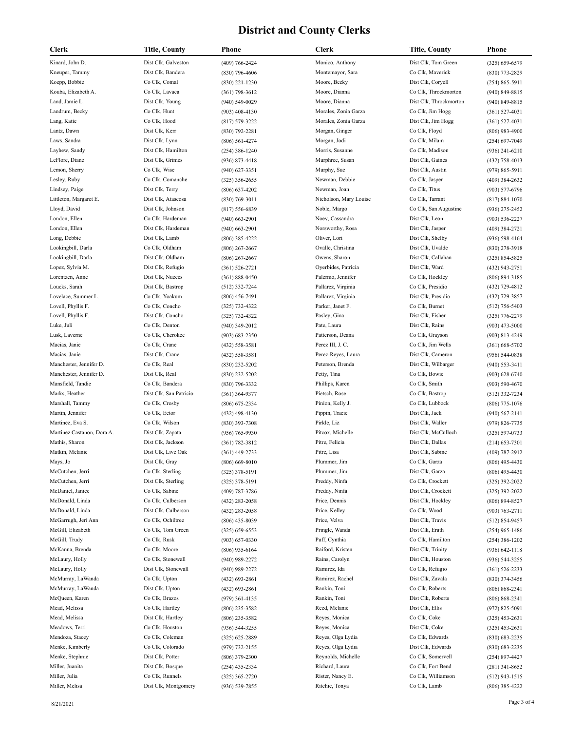| Clerk                      | Title, County          | Phone                                | <b>Clerk</b>           | Title, County          | Phone                                  |
|----------------------------|------------------------|--------------------------------------|------------------------|------------------------|----------------------------------------|
| Kinard, John D.            | Dist Clk, Galveston    | (409) 766-2424                       | Monico, Anthony        | Dist Clk, Tom Green    | $(325) 659 - 6579$                     |
| Kneuper, Tammy             | Dist Clk, Bandera      | $(830)$ 796-4606                     | Montemayor, Sara       | Co Clk, Maverick       | (830) 773-2829                         |
| Koepp, Bobbie              | Co Clk, Comal          | $(830)$ 221-1230                     | Moore, Becky           | Dist Clk, Coryell      | $(254) 865 - 5911$                     |
| Kouba, Elizabeth A.        | Co Clk, Lavaca         | $(361) 798 - 3612$                   | Moore, Dianna          | Co Clk, Throckmorton   | $(940)$ 849-8815                       |
| Land, Jamie L.             | Dist Clk, Young        | $(940) 549 - 0029$                   | Moore, Dianna          | Dist Clk, Throckmorton | $(940)$ 849-8815                       |
| Landrum, Becky             | Co Clk, Hunt           | $(903)$ 408-4130                     | Morales, Zonia Garza   | Co Clk, Jim Hogg       | $(361) 527 - 4031$                     |
| Lang, Katie                | Co Clk, Hood           | $(817) 579 - 3222$                   | Morales, Zonia Garza   | Dist Clk, Jim Hogg     | $(361) 527 - 4031$                     |
| Lantz, Dawn                | Dist Clk, Kerr         | $(830)$ 792-2281                     | Morgan, Ginger         | Co Clk, Floyd          | $(806)$ 983-4900                       |
| Laws, Sandra               | Dist Clk, Lynn         | $(806) 561 - 4274$                   | Morgan, Jodi           | Co Clk, Milam          | $(254) 697 - 7049$                     |
| Layhew, Sandy              | Dist Clk, Hamilton     | $(254)$ 386-1240                     | Morris, Susanne        | Co Clk, Madison        | $(936)$ 241-6210                       |
| LeFlore, Diane             | Dist Clk, Grimes       | $(936) 873 - 4418$                   | Murphree, Susan        | Dist Clk, Gaines       | $(432)$ 758-4013                       |
| Lemon, Sherry              | Co Clk, Wise           | $(940)$ 627-3351                     | Murphy, Sue            | Dist Clk, Austin       | $(979) 865 - 5911$                     |
| Lesley, Ruby               | Co Clk, Comanche       | $(325)$ 356-2655                     | Newman, Debbie         | Co Clk, Jasper         | $(409)$ 384-2632                       |
| Lindsey, Paige             | Dist Clk, Terry        |                                      | Newman, Joan           | Co Clk, Titus          |                                        |
| Littleton, Margaret E.     | Dist Clk, Atascosa     | $(806)$ 637-4202                     | Nicholson, Mary Louise | Co Clk, Tarrant        | $(903) 577 - 6796$                     |
|                            |                        | $(830) 769 - 3011$                   |                        |                        | $(817) 884 - 1070$                     |
| Lloyd, David               | Dist Clk, Johnson      | $(817) 556 - 6839$                   | Noble, Margo           | Co Clk, San Augustine  | $(936)$ 275-2452                       |
| London, Ellen              | Co Clk, Hardeman       | $(940)$ 663-2901                     | Noey, Cassandra        | Dist Clk, Leon         | $(903) 536 - 2227$                     |
| London, Ellen              | Dist Clk, Hardeman     | $(940)$ 663-2901                     | Norsworthy, Rosa       | Dist Clk, Jasper       | $(409)$ 384-2721                       |
| Long, Debbie               | Dist Clk, Lamb         | $(806)$ 385-4222                     | Oliver, Lori           | Dist Clk, Shelby       | $(936) 598 - 4164$                     |
| Lookingbill, Darla         | Co Clk, Oldham         | $(806)$ 267-2667                     | Ovalle, Christina      | Dist Clk, Uvalde       | $(830)$ 278-3918                       |
| Lookingbill, Darla         | Dist Clk, Oldham       | $(806)$ 267-2667                     | Owens, Sharon          | Dist Clk, Callahan     | $(325) 854 - 5825$                     |
| Lopez, Sylvia M.           | Dist Clk, Refugio      | $(361) 526 - 2721$                   | Oyerbides, Patricia    | Dist Clk, Ward         | $(432)$ 943-2751                       |
| Lorentzen, Anne            | Dist Clk, Nueces       | $(361) 888 - 0450$                   | Palermo, Jennifer      | Co Clk, Hockley        | $(806) 894 - 3185$                     |
| Loucks, Sarah              | Dist Clk, Bastrop      | $(512)$ 332-7244                     | Pallarez, Virginia     | Co Clk, Presidio       | (432) 729-4812                         |
| Lovelace, Summer L.        | Co Clk, Yoakum         | $(806)$ 456-7491                     | Pallarez, Virginia     | Dist Clk, Presidio     | (432) 729-3857                         |
| Lovell, Phyllis F.         | Co Clk, Concho         | $(325) 732 - 4322$                   | Parker, Janet F.       | Co Clk, Burnet         | $(512)$ 756-5403                       |
| Lovell, Phyllis F.         | Dist Clk, Concho       | (325) 732-4322                       | Pasley, Gina           | Dist Clk, Fisher       | $(325)$ 776-2279                       |
| Luke, Juli                 | Co Clk, Denton         | $(940)$ 349-2012                     | Pate, Laura            | Dist Clk, Rains        | $(903)$ 473-5000                       |
| Lusk, Laverne              | Co Clk, Cherokee       | $(903) 683 - 2350$                   | Patterson, Deana       | Co Clk, Grayson        | $(903) 813 - 4249$                     |
| Macias, Janie              | Co Clk, Crane          | $(432) 558 - 3581$                   | Perez III, J. C.       | Co Clk, Jim Wells      | $(361) 668 - 5702$                     |
| Macias, Janie              | Dist Clk, Crane        | $(432) 558 - 3581$                   | Perez-Reyes, Laura     | Dist Clk, Cameron      | $(956) 544-0838$                       |
| Manchester, Jennifer D.    | Co Clk, Real           | $(830)$ 232-5202                     | Peterson, Brenda       | Dist Clk, Wilbarger    | $(940)$ 553-3411                       |
| Manchester, Jennifer D.    | Dist Clk, Real         | $(830)$ 232-5202                     | Petty, Tina            | Co Clk, Bowie          | $(903) 628 - 6740$                     |
| Mansfield, Tandie          | Co Clk, Bandera        | $(830)$ 796-3332                     | Phillips, Karen        | Co Clk, Smith          | $(903) 590 - 4670$                     |
| Marks, Heather             | Dist Clk, San Patricio | $(361)$ 364-9377                     | Pietsch, Rose          | Co Clk, Bastrop        | $(512)$ 332-7234                       |
| Marshall, Tammy            | Co Clk, Crosby         | $(806)$ 675-2334                     | Pinion, Kelly J.       | Co Clk, Lubbock        | $(806)$ 775-1076                       |
| Martin, Jennifer           | Co Clk, Ector          | $(432)$ 498-4130                     | Pippin, Tracie         | Dist Clk, Jack         | $(940) 567 - 2141$                     |
| Martinez, Eva S.           | Co Clk, Wilson         | $(830)$ 393-7308                     | Pirkle, Liz            | Dist Clk, Waller       | (979) 826-7735                         |
| Martinez Castanon, Dora A. | Dist Clk, Zapata       | $(956) 765 - 9930$                   | Pitcox, Michelle       | Dist Clk, McCulloch    | $(325) 597 - 0733$                     |
| Mathis, Sharon             | Dist Clk, Jackson      | $(361) 782 - 3812$                   | Pitre, Felicia         | Dist Clk, Dallas       | $(214) 653 - 7301$                     |
| Matkin, Melanie            | Dist Clk, Live Oak     | $(361)$ 449-2733                     | Pitre, Lisa            | Dist Clk, Sabine       | (409) 787-2912                         |
| Mays, Jo                   | Dist Clk, Gray         | $(806) 669 - 8010$                   | Plummer, Jim           | Co Clk, Garza          | $(806)$ 495-4430                       |
| McCutchen, Jerri           | Co Clk, Sterling       | $(325)$ 378-5191                     | Plummer, Jim           | Dist Clk, Garza        | $(806)$ 495-4430                       |
| McCutchen, Jerri           | Dist Clk, Sterling     | $(325)$ 378-5191                     | Preddy, Ninfa          | Co Clk, Crockett       | $(325)$ 392-2022                       |
| McDaniel, Janice           | Co Clk, Sabine         | (409) 787-3786                       | Preddy, Ninfa          | Dist Clk, Crockett     | $(325)$ 392-2022                       |
| McDonald, Linda            | Co Clk, Culberson      | $(432)$ 283-2058                     | Price, Dennis          | Dist Clk, Hockley      | $(806) 894 - 8527$                     |
| McDonald, Linda            | Dist Clk, Culberson    | $(432)$ 283-2058                     | Price, Kelley          | Co Clk, Wood           | $(903) 763 - 2711$                     |
| McGarrugh, Jeri Ann        | Co Clk, Ochiltree      | $(806)$ 435-8039                     | Price, Velva           | Dist Clk, Travis       | $(512) 854 - 9457$                     |
| McGill, Elizabeth          | Co Clk, Tom Green      | $(325) 659 - 6553$                   | Pringle, Wanda         | Dist Clk, Erath        | $(254)$ 965-1486                       |
| McGill, Trudy              | Co Clk, Rusk           | $(903) 657 - 0330$                   | Puff, Cynthia          | Co Clk, Hamilton       | $(254)$ 386-1202                       |
| McKanna, Brenda            | Co Clk, Moore          | $(806)$ 935-6164                     | Raiford, Kristen       | Dist Clk, Trinity      | $(936) 642 - 1118$                     |
| McLaury, Holly             | Co Clk, Stonewall      | (940) 989-2272                       | Rains, Carolyn         | Dist Clk, Houston      | $(936) 544 - 3255$                     |
| McLaury, Holly             | Dist Clk, Stonewall    | $(940)$ 989-2272                     | Ramirez, Ida           | Co Clk, Refugio        | $(361) 526 - 2233$                     |
| McMurray, LaWanda          | Co Clk, Upton          | $(432) 693 - 2861$                   | Ramirez, Rachel        | Dist Clk, Zavala       | $(830)$ 374-3456                       |
| McMurray, LaWanda          | Dist Clk, Upton        | $(432)$ 693-2861                     | Rankin, Toni           | Co Clk, Roberts        | $(806) 868 - 2341$                     |
| McQueen, Karen             | Co Clk, Brazos         | $(979)$ 361-4135                     | Rankin, Toni           | Dist Clk, Roberts      | $(806) 868 - 2341$                     |
| Mead, Melissa              | Co Clk, Hartley        |                                      | Reed, Melanie          | Dist Clk, Ellis        |                                        |
| Mead, Melissa              | Dist Clk, Hartley      | $(806)$ 235-3582<br>$(806)$ 235-3582 | Reyes, Monica          | Co Clk, Coke           | $(972) 825 - 5091$<br>$(325)$ 453-2631 |
| Meadows, Terri             | Co Clk, Houston        |                                      | Reyes, Monica          | Dist Clk, Coke         |                                        |
|                            |                        | $(936) 544 - 3255$                   |                        |                        | $(325)$ 453-2631                       |
| Mendoza, Stacey            | Co Clk, Coleman        | $(325)$ 625-2889                     | Reyes, Olga Lydia      | Co Clk, Edwards        | $(830) 683 - 2235$                     |
| Menke, Kimberly            | Co Clk, Colorado       | $(979) 732 - 2155$                   | Reyes, Olga Lydia      | Dist Clk, Edwards      | $(830) 683 - 2235$                     |
| Menke, Stephnie            | Dist Clk, Potter       | $(806)$ 379-2300                     | Reynolds, Michelle     | Co Clk, Somervell      | $(254)$ 897-4427                       |
| Miller, Juanita            | Dist Clk, Bosque       | $(254)$ 435-2334                     | Richard, Laura         | Co Clk, Fort Bend      | $(281)$ 341-8652                       |
| Miller, Julia              | Co Clk, Runnels        | $(325)$ 365-2720                     | Rister, Nancy E.       | Co Clk, Williamson     | $(512)$ 943-1515                       |
| Miller, Melisa             | Dist Clk, Montgomery   | $(936) 539 - 7855$                   | Ritchie, Tonya         | Co Clk, Lamb           | $(806)$ 385-4222                       |